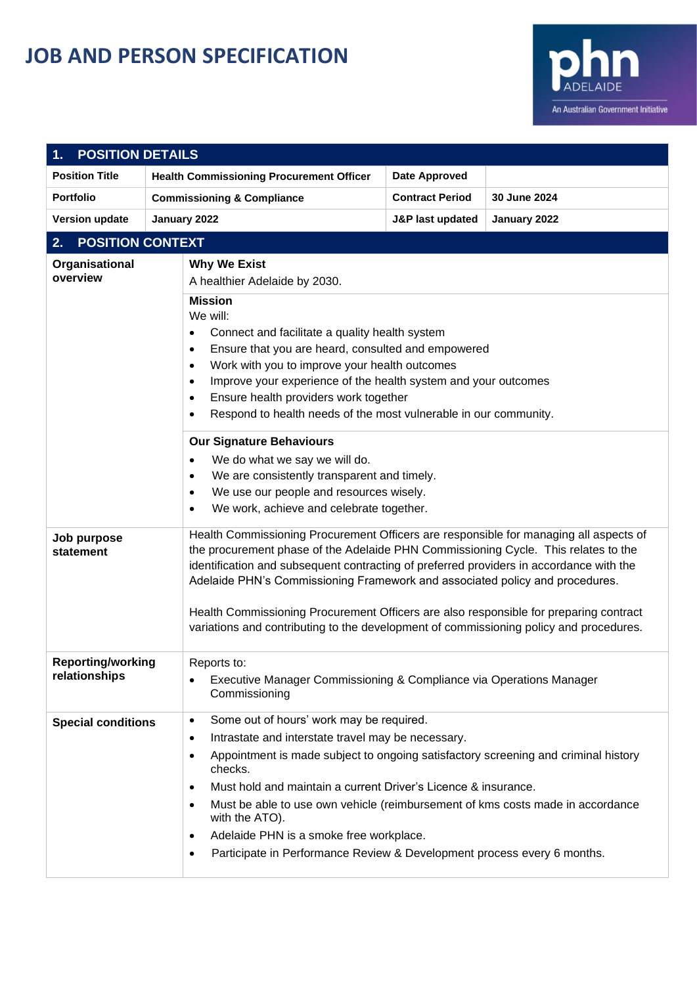## **JOB AND PERSON SPECIFICATION**



| <b>POSITION DETAILS</b>                   |                                                                                                                                                                                                                                                                                                                                                                                         |                                                                                                                                                                                                                                                                                                                                      |              |  |  |  |  |
|-------------------------------------------|-----------------------------------------------------------------------------------------------------------------------------------------------------------------------------------------------------------------------------------------------------------------------------------------------------------------------------------------------------------------------------------------|--------------------------------------------------------------------------------------------------------------------------------------------------------------------------------------------------------------------------------------------------------------------------------------------------------------------------------------|--------------|--|--|--|--|
| <b>Position Title</b>                     | <b>Health Commissioning Procurement Officer</b>                                                                                                                                                                                                                                                                                                                                         | <b>Date Approved</b>                                                                                                                                                                                                                                                                                                                 |              |  |  |  |  |
| <b>Portfolio</b>                          | <b>Commissioning &amp; Compliance</b>                                                                                                                                                                                                                                                                                                                                                   | <b>Contract Period</b>                                                                                                                                                                                                                                                                                                               | 30 June 2024 |  |  |  |  |
| <b>Version update</b>                     | January 2022                                                                                                                                                                                                                                                                                                                                                                            | <b>J&amp;P last updated</b>                                                                                                                                                                                                                                                                                                          | January 2022 |  |  |  |  |
| 2.                                        | <b>POSITION CONTEXT</b>                                                                                                                                                                                                                                                                                                                                                                 |                                                                                                                                                                                                                                                                                                                                      |              |  |  |  |  |
| Organisational<br>overview                | <b>Why We Exist</b><br>A healthier Adelaide by 2030.<br><b>Mission</b><br>We will:<br>$\bullet$<br>٠<br>$\bullet$<br>$\bullet$<br>$\bullet$<br>$\bullet$<br><b>Our Signature Behaviours</b><br>We do what we say we will do.<br>$\bullet$<br>We are consistently transparent and timely.<br>$\bullet$                                                                                   | Connect and facilitate a quality health system<br>Ensure that you are heard, consulted and empowered<br>Work with you to improve your health outcomes<br>Improve your experience of the health system and your outcomes<br>Ensure health providers work together<br>Respond to health needs of the most vulnerable in our community. |              |  |  |  |  |
| Job purpose<br>statement                  | We use our people and resources wisely.<br>$\bullet$<br>We work, achieve and celebrate together.<br>$\bullet$<br>Health Commissioning Procurement Officers are responsible for managing all aspects of<br>the procurement phase of the Adelaide PHN Commissioning Cycle. This relates to the<br>identification and subsequent contracting of preferred providers in accordance with the |                                                                                                                                                                                                                                                                                                                                      |              |  |  |  |  |
|                                           | Adelaide PHN's Commissioning Framework and associated policy and procedures.<br>Health Commissioning Procurement Officers are also responsible for preparing contract<br>variations and contributing to the development of commissioning policy and procedures.                                                                                                                         |                                                                                                                                                                                                                                                                                                                                      |              |  |  |  |  |
| <b>Reporting/working</b><br>relationships | Reports to:<br>$\bullet$<br>Commissioning                                                                                                                                                                                                                                                                                                                                               | Executive Manager Commissioning & Compliance via Operations Manager                                                                                                                                                                                                                                                                  |              |  |  |  |  |
| <b>Special conditions</b>                 | Some out of hours' work may be required.<br>$\bullet$<br>Intrastate and interstate travel may be necessary.<br>$\bullet$<br>٠<br>checks.<br>$\bullet$<br>$\bullet$<br>with the ATO).<br>Adelaide PHN is a smoke free workplace.<br>$\bullet$<br>$\bullet$                                                                                                                               | Appointment is made subject to ongoing satisfactory screening and criminal history<br>Must hold and maintain a current Driver's Licence & insurance.<br>Must be able to use own vehicle (reimbursement of kms costs made in accordance<br>Participate in Performance Review & Development process every 6 months.                    |              |  |  |  |  |